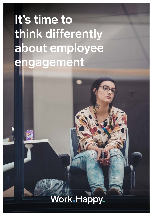### **It's time to think differently about employee engagement**

### Work.Happy.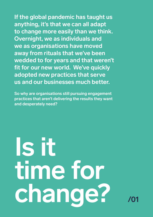**If the global pandemic has taught us anything, it's that we can all adapt to change more easily than we think. Overnight, we as individuals and we as organisations have moved away from rituals that we've been wedded to for years and that weren't fit for our new world. We've quickly adopted new practices that serve us and our businesses much better.** 

**So why are organisations still pursuing engagement practices that aren't delivering the results they want and desperately need?** 

**Is it time for change? /01**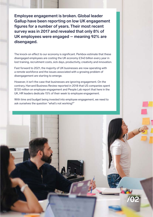**Employee engagement is broken. Global leader Gallup have been reporting on low UK engagement figures for a number of years. Their most recent survey was in 2017 and revealed that only 8% of UK employees were engaged – meaning 92% are disengaged.**

The knock-on effect to our economy is significant. Perkbox estimate that these disengaged employees are costing the UK economy £340 billion every year in lost training, recruitment costs, sick days, productivity, creativity and innovation.

Fast forward to 2021, the majority of UK businesses are now operating with a remote workforce and the issues associated with a growing problem of disengagement are starting to emerge.

However, it isn't the case that businesses are ignoring engagement. On the contrary, Harvard Business Review reported in 2018 that US companies spent \$720 million on employee engagement and People Lab report that here in the UK, HR leaders dedicate 15% of their week to employee engagement.

With time and budget being invested into employee engagement, we need to ask ourselves the question "what's not working?"

**/02**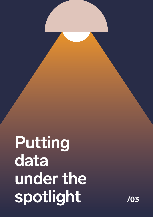## **Putting data**  under the **spotlight /03**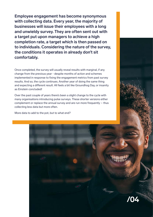**Employee engagement has become synonymous with collecting data. Every year, the majority of businesses will issue their employees with a long and unwieldy survey. They are often sent out with a target put upon managers to achieve a high completion rate, a target which is then passed on to individuals. Considering the nature of the survey, the conditions it operates in already don't sit comfortably.** 

Once completed, the survey will usually reveal results with marginal, if any change from the previous year - despite months of action and schemes implemented in response to fixing the engagement metrics from past survey results. And so, the cycle continues. Another year of doing the same thing and expecting a different result. All feels a bit like Groundhog Day, or insanity as Einstein concluded!

Over the past couple of years there's been a slight change to the cycle with many organisations introducing pulse surveys. These shorter versions either complement or replace the annual survey and are run more frequently – thus collecting less data but more often.

More data to add to the pot, but to what end?



Serigan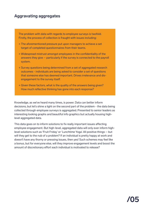#### **Aggravating aggregates**

The problem with data with regards to employee surveys is twofold. Firstly, the process of collection is fraught with issues including:

- + The aforementioned pressure put upon managers to achieve a set target of completed questionnaires from their teams.
- + Widespread mistrust amongst employees in the confidentiality of the answers they give – particularly if the survey is connected to the payroll system.
- + Survey questions being determined from a set of aggregated research outcomes - individuals are being asked to consider a set of questions that someone else has deemed important. Drives irrelevance and disengagement to the survey itself.
- + Given these factors, what is the quality of the answers being given? How much reflective thinking has gone into each response?

Knowledge, as we've heard many times, is power. Data can better inform decisions, but let's shine a light on the second part of the problem - the data being collected through employee surveys is aggregated. Presented to senior leaders as interesting looking graphs and beautiful info graphics but actually housing highlevel aggregated data.

This data goes on to inform solutions to fix really important issues affecting employee engagement. But high-level, aggregated data will only ever inform highlevel solutions such as 'Fruit Friday' or 'Lunchtime Yoga'. All positive things – but will they get to the nub of a problem? If an individual is pretty happy at work and doesn't have any thorny or pressing issues, then yes! Such schemes may feel like a bonus, but for everyone else, will they improve engagement levels and boost the amount of discretionary effort each individual is motivated to release?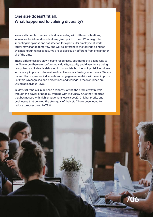#### **One size doesn't fit all. What happened to valuing diversity?**

We are all complex, unique individuals dealing with different situations, influences, beliefs and needs at any given point in time. What might be impacting happiness and satisfaction for a particular employee at work today, may change tomorrow and will be different to the feelings being felt by a neighbouring colleague. We are all deliciously different from one another, all of the time.

These differences are slowly being recognised, but there's still a long way to go. Now more than ever before, individuality, equality and diversity are being recognised and indeed celebrated in our society but has not yet trickled down into a really important dimension of our lives – our feelings about work. We are not a collective, we are individuals and engagement metrics will never improve until this is recognised and perceptions and feelings in the workplace are valued at individual level.

In May 2019 the CBI published a report "Solving the productivity puzzle through the power of people", working with McKinsey & Co they reported that businesses with high engagement levels see 22% higher profits and businesses that develop the strengths of their staff have been found to reduce turnover by up to 72%.

**/06**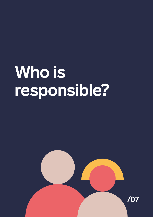### **Who is responsible?**

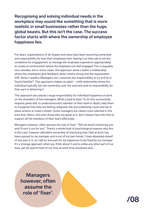**Recognising and solving individual needs in the workplace may sound like something that is more realistic in small businesses rather than the huge, global beasts. But this isn't the case. The success factor starts with where the ownership of employee happiness lies.** 

For years, organisations of all shapes and sizes have been assuming ownership and responsibility for how their employees feel. Seeing it as their job to set the conditions for engagement, to manage the employee experience appropriately, to create an environment where the employee can feel engaged. This is arguably very sensible, but in many cases, this approach alone creates a relationship where the employees give feedback about what's wrong and the organisation (HR, Senior Leaders, Managers, etc.) assumes the responsibility to try and fix it. Sound familiar? This approach creates an adult – child relationship where the individual typically has low ownership over the outcome and no responsibility for their part in delivering it.

This approach also places a huge responsibility for individual happiness at work on the shoulders of line managers. What a load to bear! To do this successfully requires great skill, to understand each member of their team in depth, help them to recognise how they are feeling, diagnose the real underlying cause and set in place actions to make it better. Some managers are clearly more talented in this area than others, but even those who are great at it, don't always have the time to support all the members of their team effectively.

Managers however, often assume the role of 'fixer'. "Tell me what's bothering you and I'll sort it out for you". There's a whole host of psychological reasons why this is the case, however ultimately ownership of improving how I feel at work has been passed to my manager and is out of my own hands. I have absented myself of any part in it, so I will sit and wait for my happiness to be fixed by my manager. It's a strange approach when you think about it and is unlike any other part of our lives, yet we spend more of our time at work than anywhere else…

**Managers however, often assume the role of 'fixer'.**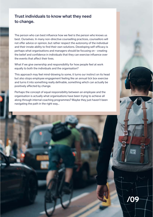#### **Trust individuals to know what they need to change.**

The person who can best influence how we feel is the person who knows us best. Ourselves. In many non-directive counselling practices, counsellors will not offer advice or opinion, but rather respect the autonomy of the individual and their innate ability to find their own solutions. Developing self-efficacy is perhaps what organisations and managers should be focusing on - creating the belief and confidence in individuals that they can exercise influence over the events that affect their lives.

What if we give ownership and responsibility for how people feel at work equally to both the individuals and the organisation?

This approach may feel mind-blowing to some, it turns our instinct on its head but also stops employee engagement feeling like an annual tick box exercise and turns it into something really definable, something which can actually be positively affected by change.

Perhaps the concept of equal responsibility between an employee and the organisation is actually what organisations have been trying to achieve all along through internal coaching programmes? Maybe they just haven't been navigating the path in the right way…

**/09**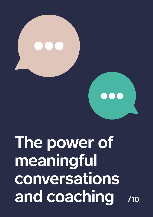# **The power of meaningful conversations and coaching /10**

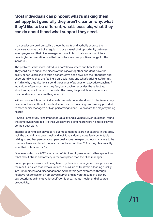**Most individuals can pinpoint what's making them unhappy but generally they aren't clear on why, what they'd like to be different, what's possible, what they can do about it and what support they need.**

If an employee could crystallise these thoughts and verbally express them in a conversation as part of a regular 1:1, or a casual chat opportunity between an employee and their line manager  $-$  it would turn that casual chat into a meaningful conversation, one that leads to some real positive change for the individual.

The problem is that most individuals don't know where and how to start. They can't quite put all the pieces of the jigsaw together and don't have the ability or self-discipline to take a constructive deep dive into their thoughts and understand why they are feeling a particular way and what's driving it. After all, isn't this why organisations spend thousands of pounds on executive coaching? Individuals often know how they feel, but coaching provides the reflective, structured space in which to consider the issue, the possible resolutions and the confidence to do something about it.

Without support, how can individuals properly understand and fix the issues they have about work? Unfortunately, due to the cost, coaching is often only provided to more senior managers or high performing talent. So how are the majority being heard?

A Sales Force study "The Impact of Equality and a Values Driven Business" found that employees who felt like their voices were being heard were 4x more likely to do their best work.

Internal coaching can play a part, but most managers are not experts in this area, lack the capability to coach well and individuals don't always feel comfortable talking to another person about personal issues. In expecting our managers to be coaches, have we placed too much expectation on them? Are they clear exactly what their role is and isn't?

Oracle reported in a 2020 study that 68% of employees would rather speak to a robot about stress and anxiety in the workplace than their line manager.

For employees who are not being heard by their line manager or through a robot, the result is issues that remain unfixed, a build-up of frustration, leading quickly into unhappiness and disengagement. At best this gets expressed through negative responses on an employee survey and at worst results in a day by day deterioration in motivation, self-confidence, mental health and of course productivity.

**/11**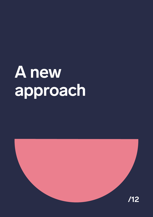## **A new approach**

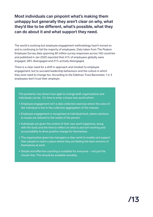**Most individuals can pinpoint what's making them unhappy but generally they aren't clear on why, what they'd like to be different, what's possible, what they can do about it and what support they need.**

The world is evolving but employee engagement methodology hasn't moved on and is continuing to fail the majority of employees. Data taken from The Peakon Employee Survey data spanning 80 million survey responses across 160 countries and published in Jan 2020 reported that 41% of employees globally were engaged, 38% disengaged and 21% actively disengaged.

There is a clear need for a shift in approach and mindset to employee engagement, but to succeed leadership behaviours and the culture in which they exist need to change too. According to the Edelman Trust Barometer, 1 in 3 employees don't trust their employer.

The pandemic has shown how agile to change both organisations and individuals can be. It's time to enter a brave new world where:

- + Employee engagement isn't a data collection exercise where the voice of the individual is lost in the collective aggregation of the masses.
- + Employee engagement is recognised at individual level, where solutions to issues are tailored to the needs of the person.
- + Individuals are given the control of their own work happiness, along with the tools and the time to reflect on what is and isn't working and accountability to drive positive change for themselves.
- + The organisation gives line managers a clear remit to enable and support their people to reach a place where they are feeling the best versions of themselves at work.
- + Simple and effective coaching is available for everyone not just the chosen few. This should be available remotely.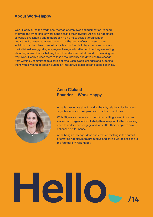#### **About Work-Happy**

Work-Happy turns the traditional method of employee engagement on its head by giving the ownership of work happiness to the individual. Achieving happiness at work is challenging and to approach it on a mass scale at organisation, department or even team level means that the needs of each person as an individual can be missed. Work-Happy is a platform built by experts and works at the individual level, guiding employees to regularly reflect on how they are feeling about key areas of work, helping them to understand what is and isn't working and why. Work-Happy guides them to take accountability and drive positive change from within by committing to a series of small, achievable changes and supports them with a wealth of tools including an interactive coach bot and audio coaching.



#### **Anna Cleland Founder – Work-Happy**

Anna is passionate about building healthy relationships between organisations and their people so that both can thrive.

With 20 years experience in the HR consulting arena, Anna has worked with organisations to help them respond to the increasing need to understand, engage and look after their people to drive enhanced performance.

Anna brings challenge, ideas and creative thinking in the pursuit of creating happier, more productive and caring workplaces and is the founder of Work-Happy.

### **Hello /14**